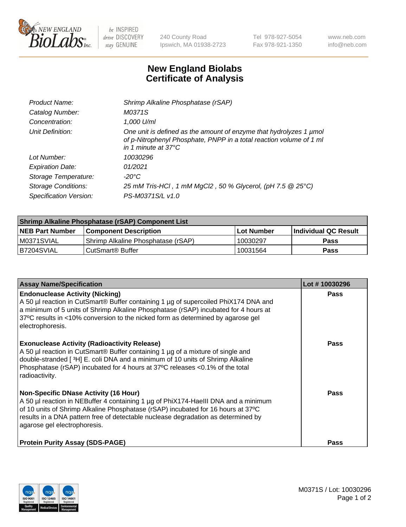

 $be$  INSPIRED drive DISCOVERY stay GENUINE

240 County Road Ipswich, MA 01938-2723 Tel 978-927-5054 Fax 978-921-1350 www.neb.com info@neb.com

## **New England Biolabs Certificate of Analysis**

| Product Name:              | Shrimp Alkaline Phosphatase (rSAP)                                                                                                                                         |
|----------------------------|----------------------------------------------------------------------------------------------------------------------------------------------------------------------------|
| Catalog Number:            | M0371S                                                                                                                                                                     |
| Concentration:             | 1,000 U/ml                                                                                                                                                                 |
| Unit Definition:           | One unit is defined as the amount of enzyme that hydrolyzes 1 µmol<br>of p-Nitrophenyl Phosphate, PNPP in a total reaction volume of 1 ml<br>in 1 minute at $37^{\circ}$ C |
| Lot Number:                | 10030296                                                                                                                                                                   |
| <b>Expiration Date:</b>    | 01/2021                                                                                                                                                                    |
| Storage Temperature:       | $-20^{\circ}$ C                                                                                                                                                            |
| <b>Storage Conditions:</b> | 25 mM Tris-HCl, 1 mM MgCl2, 50 % Glycerol, (pH 7.5 @ 25°C)                                                                                                                 |
| Specification Version:     | PS-M0371S/L v1.0                                                                                                                                                           |

| Shrimp Alkaline Phosphatase (rSAP) Component List |                                    |              |                      |  |  |
|---------------------------------------------------|------------------------------------|--------------|----------------------|--|--|
| <b>NEB Part Number</b>                            | <b>Component Description</b>       | l Lot Number | Individual QC Result |  |  |
| IM0371SVIAL                                       | Shrimp Alkaline Phosphatase (rSAP) | 10030297     | <b>Pass</b>          |  |  |
| B7204SVIAL                                        | CutSmart® Buffer                   | 10031564     | Pass                 |  |  |

| <b>Assay Name/Specification</b>                                                                                                                                                                                                                                                                                                             | Lot #10030296 |
|---------------------------------------------------------------------------------------------------------------------------------------------------------------------------------------------------------------------------------------------------------------------------------------------------------------------------------------------|---------------|
| <b>Endonuclease Activity (Nicking)</b><br>A 50 µl reaction in CutSmart® Buffer containing 1 µg of supercoiled PhiX174 DNA and<br>a minimum of 5 units of Shrimp Alkaline Phosphatase (rSAP) incubated for 4 hours at<br>37°C results in <10% conversion to the nicked form as determined by agarose gel<br>electrophoresis.                 | <b>Pass</b>   |
| <b>Exonuclease Activity (Radioactivity Release)</b><br>A 50 µl reaction in CutSmart® Buffer containing 1 µg of a mixture of single and<br>double-stranded [3H] E. coli DNA and a minimum of 10 units of Shrimp Alkaline<br>Phosphatase (rSAP) incubated for 4 hours at 37°C releases <0.1% of the total<br>radioactivity.                   | <b>Pass</b>   |
| <b>Non-Specific DNase Activity (16 Hour)</b><br>A 50 µl reaction in NEBuffer 4 containing 1 µg of PhiX174-HaellI DNA and a minimum<br>of 10 units of Shrimp Alkaline Phosphatase (rSAP) incubated for 16 hours at 37°C<br>results in a DNA pattern free of detectable nuclease degradation as determined by<br>agarose gel electrophoresis. | Pass          |
| <b>Protein Purity Assay (SDS-PAGE)</b>                                                                                                                                                                                                                                                                                                      | <b>Pass</b>   |